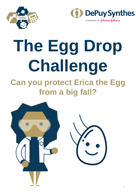



# **The Egg Drop Challenge Can you protect Erica the Egg from a big fall?**

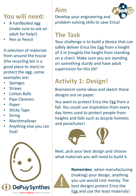## **You will need:**

- A hardboiled egg (make sure to ask an adult for help!)
- Pen or Pencil

A selection of materials from around the house (the recycling bin is a good place to start) to protect the egg, some examples are:

- **Sponges**
- **Straws**
- Cotton Balls
- **Pipe Cleaners**
- **Paper**
- **Sticky Tape**
- **String**
- **Marshmallows**
- Anything else you can find!



# **Aim**

Develop your engineering and problem-solving skills to save Erica!

#### **The Task**

Your challenge is to build a device that can safely deliver Erica the Egg from a height of 3 m (roughly the height from standing on a chair). Make sure you are standing on something sturdy and have adult supervision for this bit!

# **Activity 1: Design!**

Brainstorm some ideas and sketch these designs out on paper.

You want to protect Erica the Egg from a fall. You could use inspiration from every day items used to protect people from heights and falls such as bicycle helmets and parachutes!



Next, pick your best design and choose what materials you will need to build it.



best designs protect Erica the **Remember**, when manufacturing (making) your design, anything you use would cost money. The Egg and use the least materials!